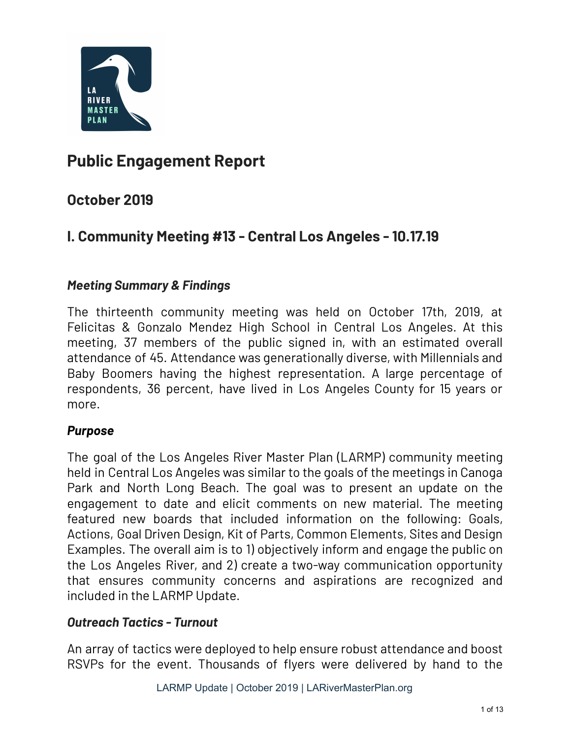

### **Public Engagement Report**

### **October 2019**

### **I. Community Meeting #13 - Central Los Angeles - 10.17.19**

#### *Meeting Summary & Findings*

The thirteenth community meeting was held on October 17th, 2019, at Felicitas & Gonzalo Mendez High School in Central Los Angeles. At this meeting, 37 members of the public signed in, with an estimated overall attendance of 45. Attendance was generationally diverse, with Millennials and Baby Boomers having the highest representation. A large percentage of respondents, 36 percent, have lived in Los Angeles County for 15 years or more.

#### *Purpose*

The goal of the Los Angeles River Master Plan (LARMP) community meeting held in Central Los Angeles was similar to the goals of the meetings in Canoga Park and North Long Beach. The goal was to present an update on the engagement to date and elicit comments on new material. The meeting featured new boards that included information on the following: Goals, Actions, Goal Driven Design, Kit of Parts, Common Elements, Sites and Design Examples. The overall aim is to 1) objectively inform and engage the public on the Los Angeles River, and 2) create a two-way communication opportunity that ensures community concerns and aspirations are recognized and included in the LARMP Update.

#### *Outreach Tactics - Turnout*

An array of tactics were deployed to help ensure robust attendance and boost RSVPs for the event. Thousands of flyers were delivered by hand to the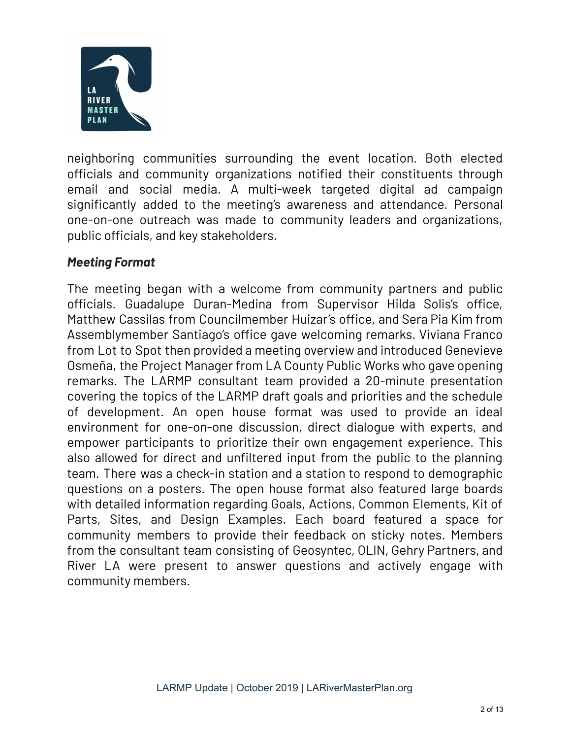

neighboring communities surrounding the event location. Both elected officials and community organizations notified their constituents through email and social media. A multi-week targeted digital ad campaign significantly added to the meeting's awareness and attendance. Personal one-on-one outreach was made to community leaders and organizations, public officials, and key stakeholders.

#### *Meeting Format*

The meeting began with a welcome from community partners and public officials. Guadalupe Duran-Medina from Supervisor Hilda Solis's office, Matthew Cassilas from Councilmember Huizar's office, and Sera Pia Kim from Assemblymember Santiago's office gave welcoming remarks. Viviana Franco from Lot to Spot then provided a meeting overview and introduced Genevieve Osmeña, the Project Manager from LA County Public Works who gave opening remarks. The LARMP consultant team provided a 20-minute presentation covering the topics of the LARMP draft goals and priorities and the schedule of development. An open house format was used to provide an ideal environment for one-on-one discussion, direct dialogue with experts, and empower participants to prioritize their own engagement experience. This also allowed for direct and unfiltered input from the public to the planning team. There was a check-in station and a station to respond to demographic questions on a posters. The open house format also featured large boards with detailed information regarding Goals, Actions, Common Elements, Kit of Parts, Sites, and Design Examples. Each board featured a space for community members to provide their feedback on sticky notes. Members from the consultant team consisting of Geosyntec, OLIN, Gehry Partners, and River LA were present to answer questions and actively engage with community members.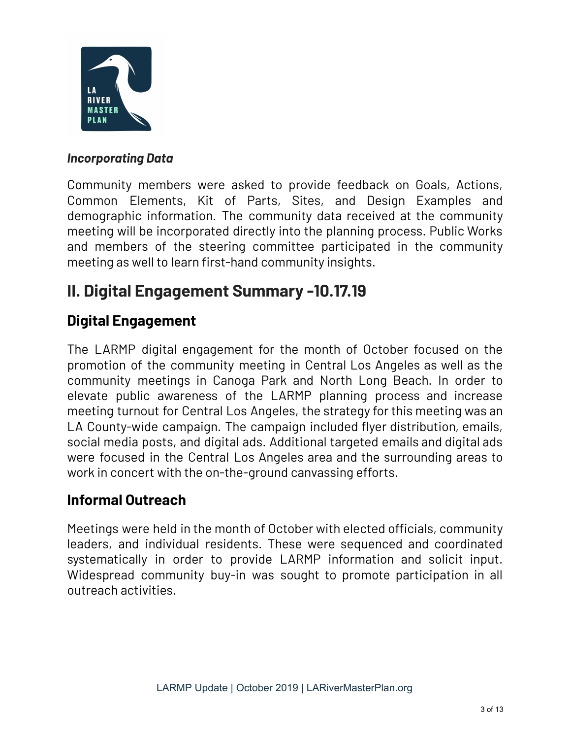

#### *Incorporating Data*

Community members were asked to provide feedback on Goals, Actions, Common Elements, Kit of Parts, Sites, and Design Examples and demographic information. The community data received at the community meeting will be incorporated directly into the planning process. Public Works and members of the steering committee participated in the community meeting as well to learn first-hand community insights.

### **II. Digital Engagement Summary -10.17.19**

### **Digital Engagement**

The LARMP digital engagement for the month of October focused on the promotion of the community meeting in Central Los Angeles as well as the community meetings in Canoga Park and North Long Beach. In order to elevate public awareness of the LARMP planning process and increase meeting turnout for Central Los Angeles, the strategy for this meeting was an LA County-wide campaign. The campaign included flyer distribution, emails, social media posts, and digital ads. Additional targeted emails and digital ads were focused in the Central Los Angeles area and the surrounding areas to work in concert with the on-the-ground canvassing efforts.

#### **Informal Outreach**

Meetings were held in the month of October with elected officials, community leaders, and individual residents. These were sequenced and coordinated systematically in order to provide LARMP information and solicit input. Widespread community buy-in was sought to promote participation in all outreach activities.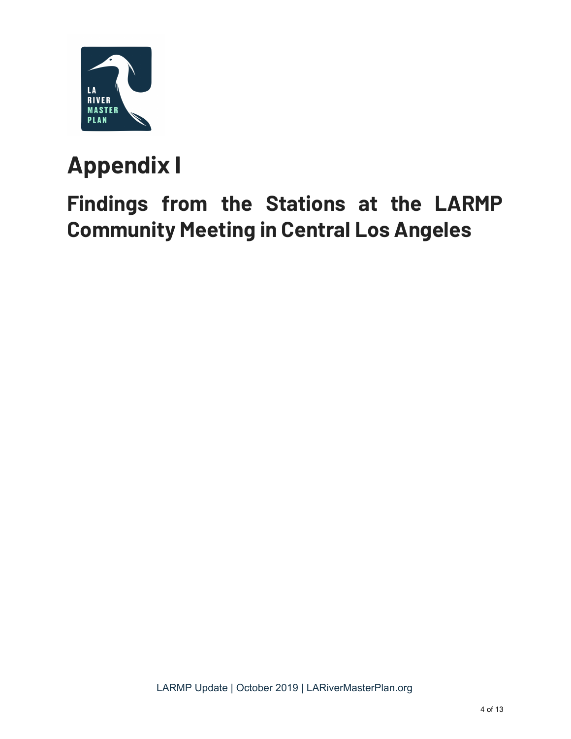

# **Appendix I**

# **Findings from the Stations at the LARMP Community Meeting in Central Los Angeles**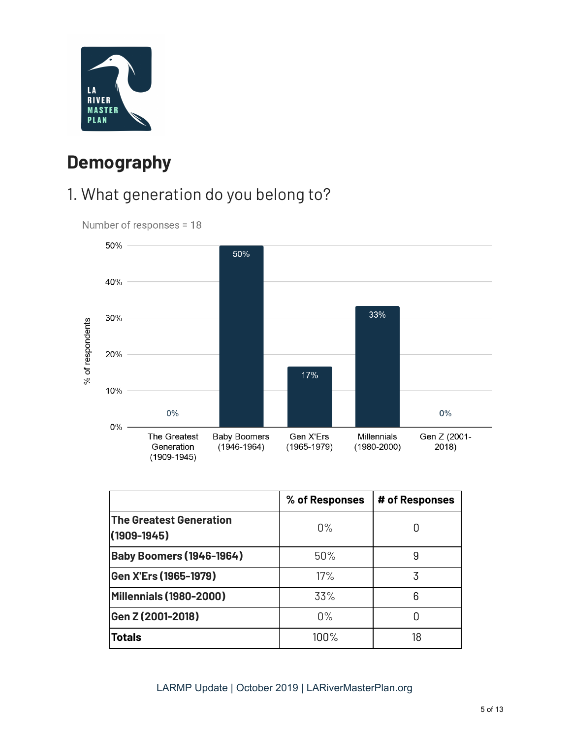

### **Demography**

### 1. What generation do you belong to?



Number of responses = 18

|                                                   | % of Responses | # of Responses |
|---------------------------------------------------|----------------|----------------|
| <b>The Greatest Generation</b><br>$(1909 - 1945)$ | $0\%$          |                |
| <b>Baby Boomers (1946-1964)</b>                   | 50%            | 9              |
| Gen X'Ers (1965-1979)                             | 17%            | 3              |
| <b>Millennials (1980-2000)</b>                    | 33%            | 6              |
| Gen Z (2001-2018)                                 | $0\%$          |                |
| <b>Totals</b>                                     | $100\%$        | 18             |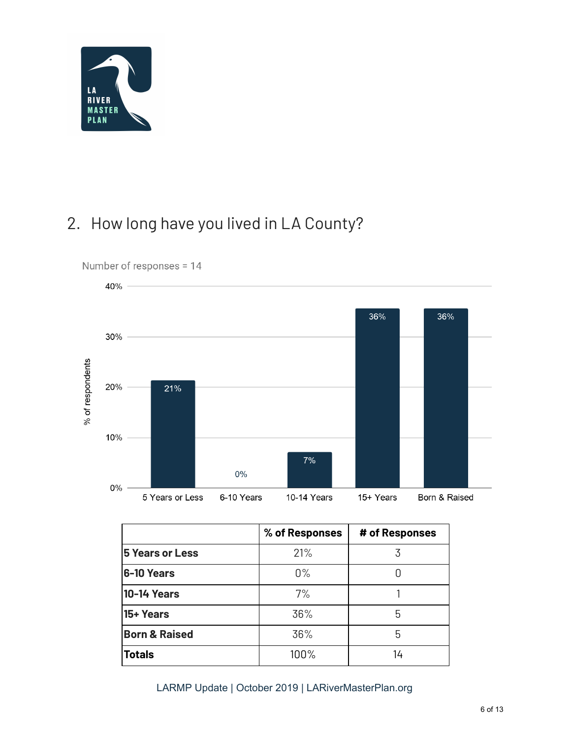

### 2. How long have you lived in LA County?



|                          | % of Responses | # of Responses |
|--------------------------|----------------|----------------|
| <b>5 Years or Less</b>   | 21%            |                |
| 6-10 Years               | $0\%$          |                |
| <b>10-14 Years</b>       | 7%             |                |
| 15+ Years                | 36%            | 5              |
| <b>Born &amp; Raised</b> | 36%            | 5              |
| <b>Totals</b>            | 100%           | 14             |

LARMP Update | October 2019 | LARiverMasterPlan.org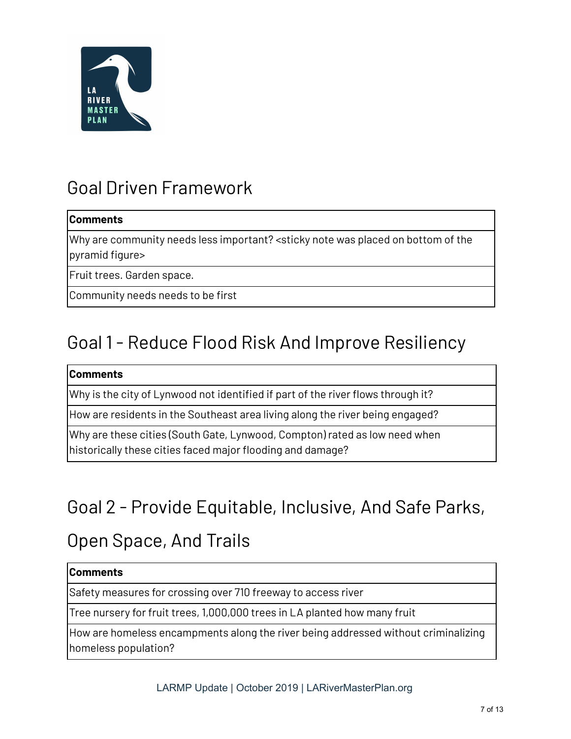

### Goal Driven Framework

#### **Comments**

Why are community needs less important? <sticky note was placed on bottom of the pyramid figure>

Fruit trees. Garden space.

Community needs needs to be first

### Goal 1 - Reduce Flood Risk And Improve Resiliency

#### **Comments**

Why is the city of Lynwood not identified if part of the river flows through it?

How are residents in the Southeast area living along the river being engaged?

Why are these cities (South Gate, Lynwood, Compton) rated as low need when historically these cities faced major flooding and damage?

# Goal 2 - Provide Equitable, Inclusive, And Safe Parks,

### Open Space, And Trails

#### **Comments**

Safety measures for crossing over 710 freeway to access river

Tree nursery for fruit trees, 1,000,000 trees in LA planted how many fruit

How are homeless encampments along the river being addressed without criminalizing homeless population?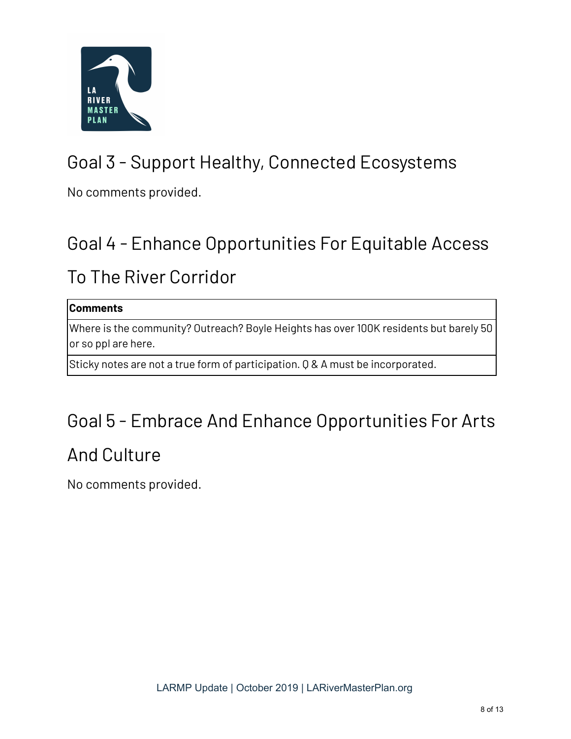

# Goal 3 - Support Healthy, Connected Ecosystems

No comments provided.

# Goal 4 - Enhance Opportunities For Equitable Access

### To The River Corridor

#### **Comments**

Where is the community? Outreach? Boyle Heights has over 100K residents but barely 50 or so ppl are here.

Sticky notes are not a true form of participation. Q & A must be incorporated.

### Goal 5 - Embrace And Enhance Opportunities For Arts

### And Culture

No comments provided.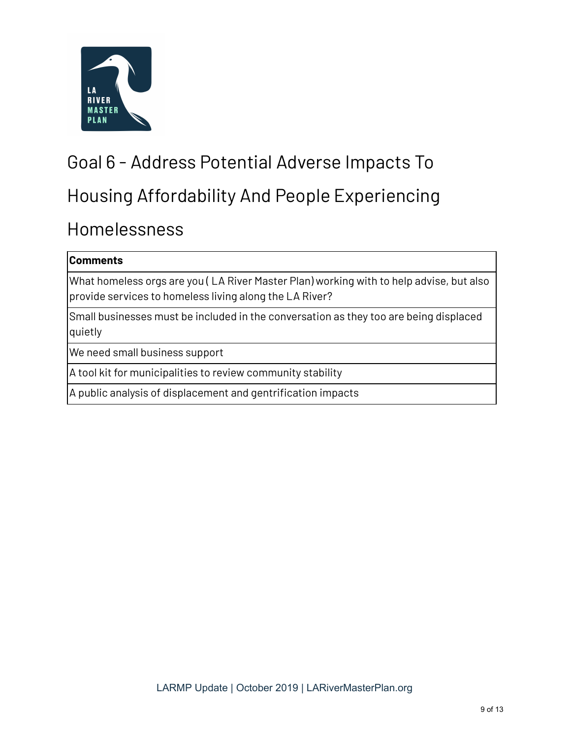

# Goal 6 - Address Potential Adverse Impacts To

### Housing Affordability And People Experiencing

### Homelessness

#### **Comments**

What homeless orgs are you ( LA River Master Plan) working with to help advise, but also provide services to homeless living along the LA River?

Small businesses must be included in the conversation as they too are being displaced quietly

We need small business support

A tool kit for municipalities to review community stability

A public analysis of displacement and gentrification impacts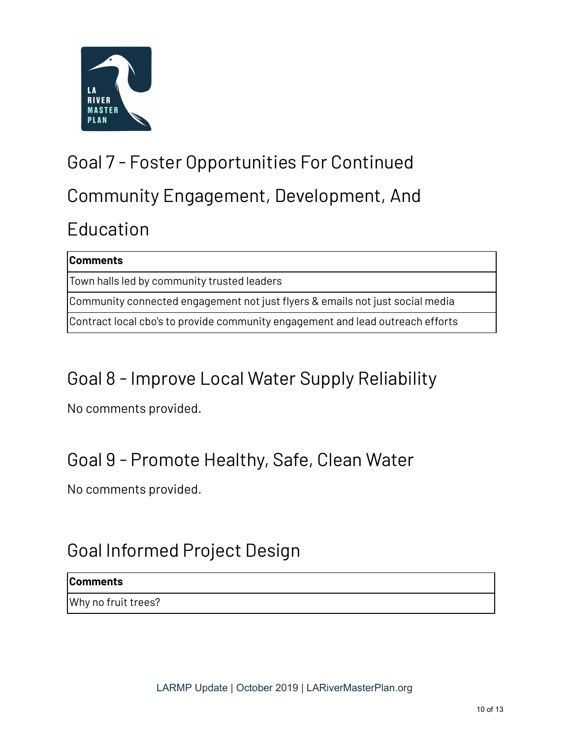

# Goal 7 - Foster Opportunities For Continued Community Engagement, Development, And Education

| <b>Comments</b>                                                                |  |  |
|--------------------------------------------------------------------------------|--|--|
| Town halls led by community trusted leaders                                    |  |  |
| Community connected engagement not just flyers & emails not just social media  |  |  |
| Contract local cbo's to provide community engagement and lead outreach efforts |  |  |

# Goal 8 - Improve Local Water Supply Reliability

No comments provided.

# Goal 9 - Promote Healthy, Safe, Clean Water

No comments provided.

# Goal Informed Project Design

#### **Comments**

Why no fruit trees?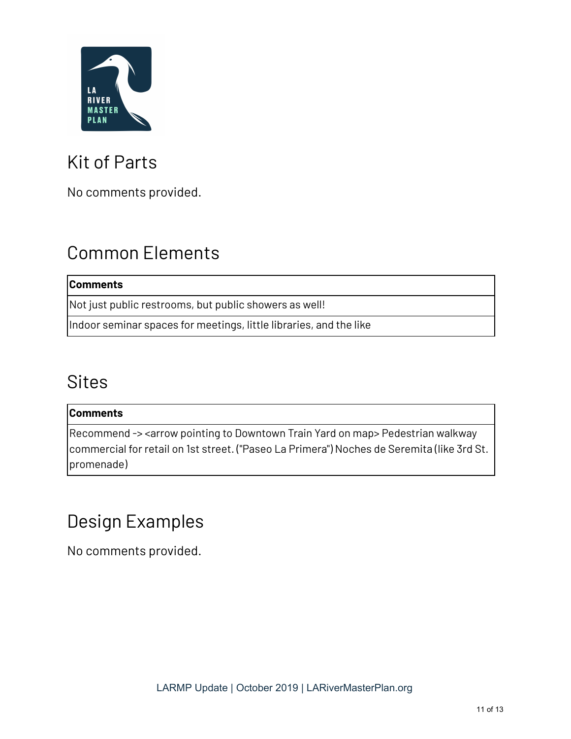

# Kit of Parts

No comments provided.

# Common Elements

#### **Comments**

Not just public restrooms, but public showers as well!

Indoor seminar spaces for meetings, little libraries, and the like

### **Sites**

#### **Comments**

Recommend -> <arrow pointing to Downtown Train Yard on map> Pedestrian walkway commercial for retail on 1st street. ("Paseo La Primera") Noches de Seremita (like 3rd St. promenade)

### Design Examples

No comments provided.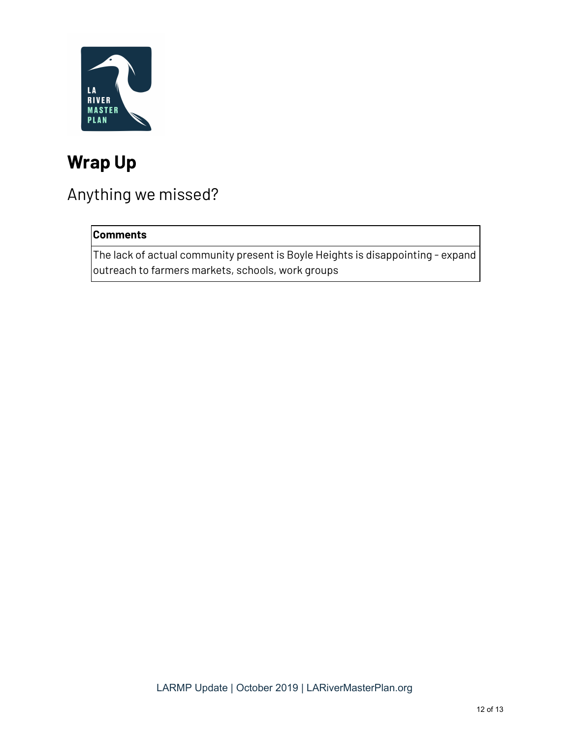

### **Wrap Up**

### Anything we missed?

#### **Comments**

The lack of actual community present is Boyle Heights is disappointing - expand outreach to farmers markets, schools, work groups